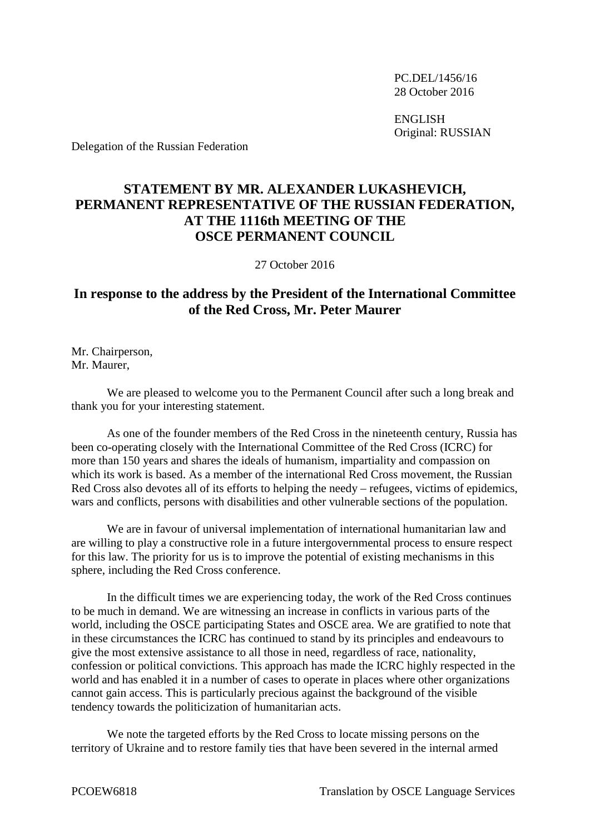PC.DEL/1456/16 28 October 2016

ENGLISH Original: RUSSIAN

Delegation of the Russian Federation

## **STATEMENT BY MR. ALEXANDER LUKASHEVICH, PERMANENT REPRESENTATIVE OF THE RUSSIAN FEDERATION, AT THE 1116th MEETING OF THE OSCE PERMANENT COUNCIL**

27 October 2016

## **In response to the address by the President of the International Committee of the Red Cross, Mr. Peter Maurer**

Mr. Chairperson, Mr. Maurer,

We are pleased to welcome you to the Permanent Council after such a long break and thank you for your interesting statement.

As one of the founder members of the Red Cross in the nineteenth century, Russia has been co-operating closely with the International Committee of the Red Cross (ICRC) for more than 150 years and shares the ideals of humanism, impartiality and compassion on which its work is based. As a member of the international Red Cross movement, the Russian Red Cross also devotes all of its efforts to helping the needy – refugees, victims of epidemics, wars and conflicts, persons with disabilities and other vulnerable sections of the population.

We are in favour of universal implementation of international humanitarian law and are willing to play a constructive role in a future intergovernmental process to ensure respect for this law. The priority for us is to improve the potential of existing mechanisms in this sphere, including the Red Cross conference.

In the difficult times we are experiencing today, the work of the Red Cross continues to be much in demand. We are witnessing an increase in conflicts in various parts of the world, including the OSCE participating States and OSCE area. We are gratified to note that in these circumstances the ICRC has continued to stand by its principles and endeavours to give the most extensive assistance to all those in need, regardless of race, nationality, confession or political convictions. This approach has made the ICRC highly respected in the world and has enabled it in a number of cases to operate in places where other organizations cannot gain access. This is particularly precious against the background of the visible tendency towards the politicization of humanitarian acts.

We note the targeted efforts by the Red Cross to locate missing persons on the territory of Ukraine and to restore family ties that have been severed in the internal armed